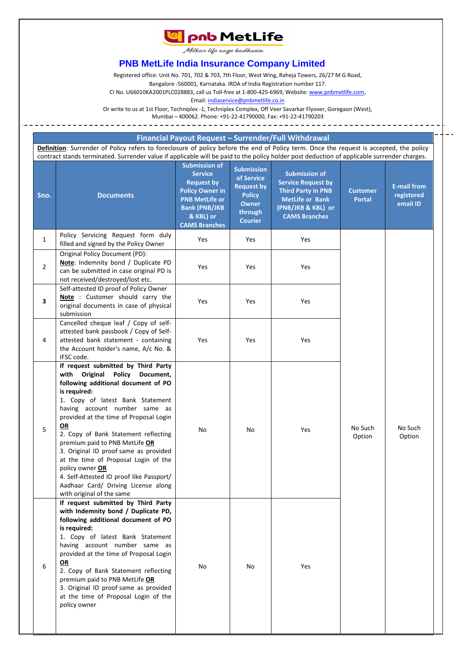

Milkar life aage badhaein

## **PNB MetLife India Insurance Company Limited**

Registered office: Unit No. 701, 702 & 703, 7th Floor, West Wing, Raheja Towers, 26/27 M G Road,

Bangalore -560001, Karnataka. IRDA of India Registration number 117.

CI No. U66010KA2001PLC028883, call us Toll-free at 1-800-425-6969, Website[: www.pnbmetlife.com,](http://www.pnbmetlife.com/)

Email[: indiaservice@pnbmetlife.co.in](mailto:indiaservice@pnbmetlife.co.in) 

Or write to us at 1st Floor, Techniplex -1, Techniplex Complex, Off Veer Savarkar Flyover, Goregaon (West),

Mumbai – 400062. Phone: +91-22-41790000, Fax: +91-22-41790203

| <b>Financial Payout Request - Surrender/Full Withdrawal</b> |  |
|-------------------------------------------------------------|--|
|-------------------------------------------------------------|--|

Definition: Surrender of Policy refers to foreclosure of policy before the end of Policy term. Once the request is accepted, the policy contract stands terminated. Surrender value if applicable will be paid to the policy holder post deduction of applicable surrender charges.

| Sno.                    | <b>Documents</b>                                                                                                                                                                                                                                                                                                                                                                                                                                                                                                                                      | <b>Submission of</b><br><b>Service</b><br><b>Request by</b><br><b>Policy Owner in</b><br><b>PNB MetLife or</b><br><b>Bank (PNB/JKB</b><br>& KBL) or<br><b>CAMS Branches</b> | <b>Submission</b><br>of Service<br><b>Request by</b><br><b>Policy</b><br><b>Owner</b><br>through<br><b>Courier</b> | <b>Submission of</b><br><b>Service Request by</b><br><b>Third Party in PNB</b><br><b>MetLife or Bank</b><br>(PNB/JKB & KBL) or<br><b>CAMS Branches</b> | <b>Customer</b><br><b>Portal</b> | <b>E-mail from</b><br>registered<br>email ID |                   |  |
|-------------------------|-------------------------------------------------------------------------------------------------------------------------------------------------------------------------------------------------------------------------------------------------------------------------------------------------------------------------------------------------------------------------------------------------------------------------------------------------------------------------------------------------------------------------------------------------------|-----------------------------------------------------------------------------------------------------------------------------------------------------------------------------|--------------------------------------------------------------------------------------------------------------------|--------------------------------------------------------------------------------------------------------------------------------------------------------|----------------------------------|----------------------------------------------|-------------------|--|
| $\mathbf{1}$            | Policy Servicing Request form duly<br>filled and signed by the Policy Owner                                                                                                                                                                                                                                                                                                                                                                                                                                                                           | Yes                                                                                                                                                                         | Yes                                                                                                                | Yes                                                                                                                                                    |                                  |                                              |                   |  |
| $\overline{2}$          | Original Policy Document (PD):<br>Note: Indemnity bond / Duplicate PD<br>can be submitted in case original PD is<br>not received/destroyed/lost etc.                                                                                                                                                                                                                                                                                                                                                                                                  | Yes                                                                                                                                                                         | Yes                                                                                                                | Yes                                                                                                                                                    |                                  |                                              |                   |  |
| $\overline{\mathbf{3}}$ | Self-attested ID proof of Policy Owner<br>Note: Customer should carry the<br>original documents in case of physical<br>submission                                                                                                                                                                                                                                                                                                                                                                                                                     | Yes                                                                                                                                                                         | Yes                                                                                                                | Yes                                                                                                                                                    |                                  |                                              |                   |  |
| 4                       | Cancelled cheque leaf / Copy of self-<br>attested bank passbook / Copy of Self-<br>attested bank statement - containing<br>the Account holder's name, A/c No. &<br>IFSC code.                                                                                                                                                                                                                                                                                                                                                                         | Yes                                                                                                                                                                         | Yes                                                                                                                | Yes                                                                                                                                                    |                                  |                                              |                   |  |
| 5                       | If request submitted by Third Party<br>with Original<br>Policy<br>Document,<br>following additional document of PO<br>is required:<br>1. Copy of latest Bank Statement<br>having account number same as<br>provided at the time of Proposal Login<br>OR<br>2. Copy of Bank Statement reflecting<br>premium paid to PNB MetLife OR<br>3. Original ID proof same as provided<br>at the time of Proposal Login of the<br>policy owner OR<br>4. Self-Attested ID proof like Passport/<br>Aadhaar Card/ Driving License along<br>with original of the same | No                                                                                                                                                                          | No                                                                                                                 | Yes                                                                                                                                                    | No Such<br>Option                |                                              | No Such<br>Option |  |
| 6                       | If request submitted by Third Party<br>with Indemnity bond / Duplicate PD,<br>following additional document of PO<br>is required:<br>1. Copy of latest Bank Statement<br>having account number same as<br>provided at the time of Proposal Login<br>$\overline{\mathsf{OR}}$<br>2. Copy of Bank Statement reflecting<br>premium paid to PNB MetLife OR<br>3. Original ID proof same as provided<br>at the time of Proposal Login of the<br>policy owner                                                                                               | No                                                                                                                                                                          | No                                                                                                                 | Yes                                                                                                                                                    |                                  |                                              |                   |  |